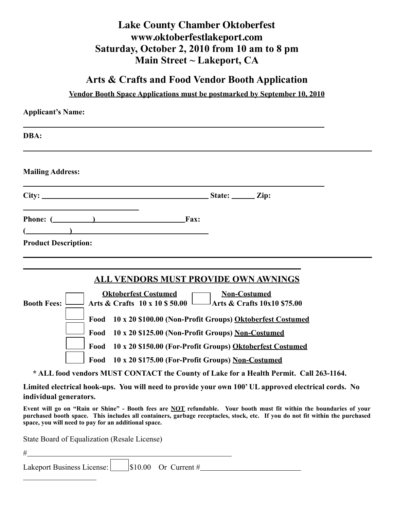# **Lake County Chamber Oktoberfest www.oktoberfestlakeport.com Saturday, October 2, 2010 from 10 am to 8 pm Main Street ~ Lakeport, CA**

### **Arts & Crafts and Food Vendor Booth Application**

#### **Vendor Booth Space Applications must be postmarked by September 10, 2010**

| <b>Applicant's Name:</b>                                                                                                                                                                                                                                                                                                                                                                                                                                                                                                                                   |
|------------------------------------------------------------------------------------------------------------------------------------------------------------------------------------------------------------------------------------------------------------------------------------------------------------------------------------------------------------------------------------------------------------------------------------------------------------------------------------------------------------------------------------------------------------|
| DBA:                                                                                                                                                                                                                                                                                                                                                                                                                                                                                                                                                       |
| <b>Mailing Address:</b>                                                                                                                                                                                                                                                                                                                                                                                                                                                                                                                                    |
|                                                                                                                                                                                                                                                                                                                                                                                                                                                                                                                                                            |
| Fax:<br>$\left(\begin{array}{ccc} \begin{array}{ccc} \end{array} & \begin{array}{ccc} \end{array} & \begin{array}{ccc} \end{array} & \end{array} \right)$                                                                                                                                                                                                                                                                                                                                                                                                  |
| <b>Product Description:</b>                                                                                                                                                                                                                                                                                                                                                                                                                                                                                                                                |
| <b>ALL VENDORS MUST PROVIDE OWN AWNINGS</b><br><b>Oktoberfest Costumed</b><br><b>Non-Costumed</b><br>Arts & Crafts 10 x 10 \$ 50.00 $\Box$ Arts & Crafts 10x10 \$75.00<br><b>Booth Fees:</b><br>10 x 20 \$100.00 (Non-Profit Groups) Oktoberfest Costumed<br>Food<br>Food<br>10 x 20 \$125.00 (Non-Profit Groups) Non-Costumed<br>10 x 20 \$150.00 (For-Profit Groups) Oktoberfest Costumed<br>Food<br>Food<br>10 x 20 \$175.00 (For-Profit Groups) Non-Costumed<br>* ALL food vendors MUST CONTACT the County of Lake for a Health Permit. Call 263-1164. |
| Limited electrical hook-ups. You will need to provide your own 100' UL approved electrical cords. No<br>individual generators.                                                                                                                                                                                                                                                                                                                                                                                                                             |

**Event will go on "Rain or Shine" - Booth fees are NOT refundable. Your booth must fit within the boundaries of your purchased booth space. This includes all containers, garbage receptacles, stock, etc. If you do not fit within the purchased space, you will need to pay for an additional space.**

State Board of Equalization (Resale License)

 $#$ 

 $\overline{a}$ 

| Lakeport Business License: |  | $\vert$ \$10.00 Or Current # |
|----------------------------|--|------------------------------|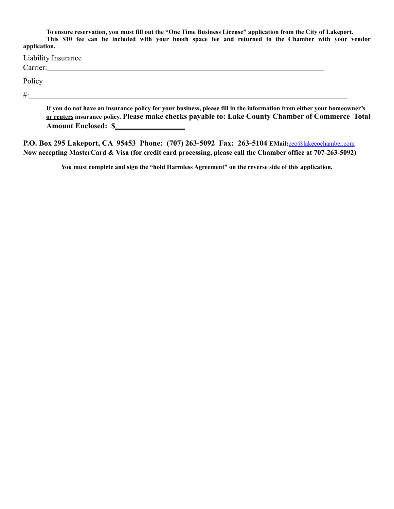**To ensure reservation, you must fill out the "One Time Business License" application from the City of Lakeport. This \$10 fee can be included with your booth space fee and returned to the Chamber with your vendor application.** 

| Liability Insurance<br>Carrier: |  |
|---------------------------------|--|
| Policy                          |  |
| $#$ :                           |  |

**If you do not have an insurance policy for your business, please fill in the information from either your homeowner's or renters insurance policy. Please make checks payable to: Lake County Chamber of Commerce Total Amount Enclosed: \$** 

**P.O. Box 295 Lakeport, CA 95453 Phone: (707) 263-5092 Fax: 263-5104 EMail:**[ceo@lakecochamber.com](mailto:ceo@lakecochamber.com) **Now accepting MasterCard & Visa (for credit card processing, please call the Chamber office at 707-263-5092)**

**You must complete and sign the "hold Harmless Agreement" on the reverse side of this application.**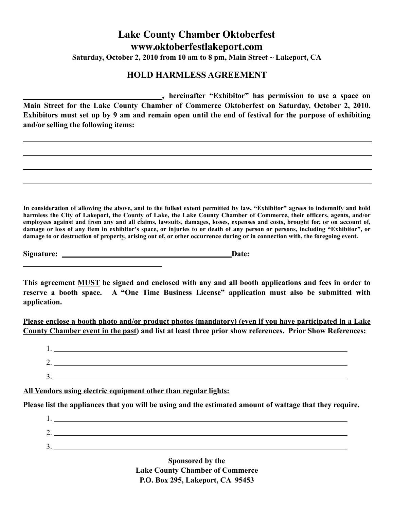## **Lake County Chamber Oktoberfest www.oktoberfestlakeport.com Saturday, October 2, 2010 from 10 am to 8 pm, Main Street ~ Lakeport, CA**

#### **HOLD HARMLESS AGREEMENT**

 **, hereinafter "Exhibitor" has permission to use a space on Main Street for the Lake County Chamber of Commerce Oktoberfest on Saturday, October 2, 2010. Exhibitors must set up by 9 am and remain open until the end of festival for the purpose of exhibiting and/or selling the following items:** 

**In consideration of allowing the above, and to the fullest extent permitted by law, "Exhibitor" agrees to indemnify and hold harmless the City of Lakeport, the County of Lake, the Lake County Chamber of Commerce, their officers, agents, and/or employees against and from any and all claims, lawsuits, damages, losses, expenses and costs, brought for, or on account of, damage or loss of any item in exhibitor's space, or injuries to or death of any person or persons, including "Exhibitor", or damage to or destruction of property, arising out of, or other occurrence during or in connection with, the foregoing event.**

Signature: <u>Date:</u> Date:

 $\overline{a}$ 

**This agreement MUST be signed and enclosed with any and all booth applications and fees in order to reserve a booth space. A "One Time Business License" application must also be submitted with application.**

**Please enclose a booth photo and/or product photos (mandatory) (even if you have participated in a Lake County Chamber event in the past) and list at least three prior show references. Prior Show References:**

| . . |  |  |  |
|-----|--|--|--|
|     |  |  |  |
|     |  |  |  |

**All Vendors using electric equipment other than regular lights:**

**Please list the appliances that you will be using and the estimated amount of wattage that they require.** 

 1. 2. 3.